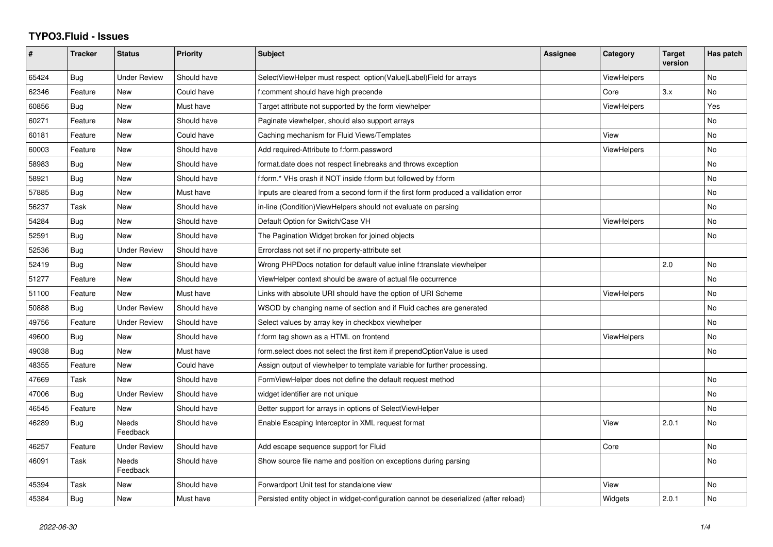## **TYPO3.Fluid - Issues**

| #     | <b>Tracker</b> | <b>Status</b>            | <b>Priority</b> | <b>Subject</b>                                                                        | <b>Assignee</b> | Category           | <b>Target</b><br>version | Has patch |
|-------|----------------|--------------------------|-----------------|---------------------------------------------------------------------------------------|-----------------|--------------------|--------------------------|-----------|
| 65424 | Bug            | <b>Under Review</b>      | Should have     | SelectViewHelper must respect option(Value Label)Field for arrays                     |                 | <b>ViewHelpers</b> |                          | <b>No</b> |
| 62346 | Feature        | New                      | Could have      | f:comment should have high precende                                                   |                 | Core               | 3.x                      | No.       |
| 60856 | Bug            | New                      | Must have       | Target attribute not supported by the form viewhelper                                 |                 | ViewHelpers        |                          | Yes       |
| 60271 | Feature        | New                      | Should have     | Paginate viewhelper, should also support arrays                                       |                 |                    |                          | No        |
| 60181 | Feature        | New                      | Could have      | Caching mechanism for Fluid Views/Templates                                           |                 | View               |                          | No        |
| 60003 | Feature        | <b>New</b>               | Should have     | Add required-Attribute to f:form.password                                             |                 | <b>ViewHelpers</b> |                          | No        |
| 58983 | Bug            | New                      | Should have     | format.date does not respect linebreaks and throws exception                          |                 |                    |                          | No        |
| 58921 | Bug            | <b>New</b>               | Should have     | f:form.* VHs crash if NOT inside f:form but followed by f:form                        |                 |                    |                          | No.       |
| 57885 | Bug            | New                      | Must have       | Inputs are cleared from a second form if the first form produced a vallidation error  |                 |                    |                          | No        |
| 56237 | Task           | New                      | Should have     | in-line (Condition) View Helpers should not evaluate on parsing                       |                 |                    |                          | No        |
| 54284 | Bug            | New                      | Should have     | Default Option for Switch/Case VH                                                     |                 | <b>ViewHelpers</b> |                          | No        |
| 52591 | Bug            | <b>New</b>               | Should have     | The Pagination Widget broken for joined objects                                       |                 |                    |                          | No        |
| 52536 | Bug            | <b>Under Review</b>      | Should have     | Errorclass not set if no property-attribute set                                       |                 |                    |                          |           |
| 52419 | <b>Bug</b>     | <b>New</b>               | Should have     | Wrong PHPDocs notation for default value inline f:translate viewhelper                |                 |                    | 2.0                      | No        |
| 51277 | Feature        | New                      | Should have     | ViewHelper context should be aware of actual file occurrence                          |                 |                    |                          | No        |
| 51100 | Feature        | <b>New</b>               | Must have       | Links with absolute URI should have the option of URI Scheme                          |                 | <b>ViewHelpers</b> |                          | No        |
| 50888 | Bug            | <b>Under Review</b>      | Should have     | WSOD by changing name of section and if Fluid caches are generated                    |                 |                    |                          | No        |
| 49756 | Feature        | <b>Under Review</b>      | Should have     | Select values by array key in checkbox viewhelper                                     |                 |                    |                          | No        |
| 49600 | Bug            | <b>New</b>               | Should have     | f:form tag shown as a HTML on frontend                                                |                 | ViewHelpers        |                          | No        |
| 49038 | Bug            | <b>New</b>               | Must have       | form.select does not select the first item if prependOptionValue is used              |                 |                    |                          | No.       |
| 48355 | Feature        | New                      | Could have      | Assign output of viewhelper to template variable for further processing.              |                 |                    |                          |           |
| 47669 | Task           | New                      | Should have     | FormViewHelper does not define the default request method                             |                 |                    |                          | No        |
| 47006 | Bug            | <b>Under Review</b>      | Should have     | widget identifier are not unique                                                      |                 |                    |                          | No        |
| 46545 | Feature        | New                      | Should have     | Better support for arrays in options of SelectViewHelper                              |                 |                    |                          | No        |
| 46289 | Bug            | <b>Needs</b><br>Feedback | Should have     | Enable Escaping Interceptor in XML request format                                     |                 | View               | 2.0.1                    | No        |
| 46257 | Feature        | <b>Under Review</b>      | Should have     | Add escape sequence support for Fluid                                                 |                 | Core               |                          | No        |
| 46091 | Task           | Needs<br>Feedback        | Should have     | Show source file name and position on exceptions during parsing                       |                 |                    |                          | No        |
| 45394 | Task           | <b>New</b>               | Should have     | Forwardport Unit test for standalone view                                             |                 | View               |                          | <b>No</b> |
| 45384 | Bug            | New                      | Must have       | Persisted entity object in widget-configuration cannot be deserialized (after reload) |                 | Widgets            | 2.0.1                    | No.       |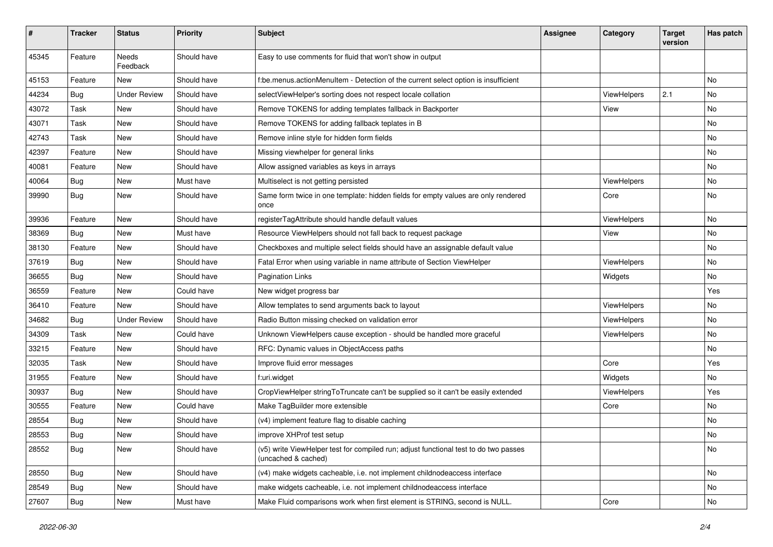| #     | <b>Tracker</b> | <b>Status</b>            | <b>Priority</b> | Subject                                                                                                     | <b>Assignee</b> | Category    | <b>Target</b><br>version | Has patch |
|-------|----------------|--------------------------|-----------------|-------------------------------------------------------------------------------------------------------------|-----------------|-------------|--------------------------|-----------|
| 45345 | Feature        | <b>Needs</b><br>Feedback | Should have     | Easy to use comments for fluid that won't show in output                                                    |                 |             |                          |           |
| 45153 | Feature        | New                      | Should have     | f:be.menus.actionMenuItem - Detection of the current select option is insufficient                          |                 |             |                          | No        |
| 44234 | Bug            | <b>Under Review</b>      | Should have     | selectViewHelper's sorting does not respect locale collation                                                |                 | ViewHelpers | 2.1                      | No        |
| 43072 | Task           | New                      | Should have     | Remove TOKENS for adding templates fallback in Backporter                                                   |                 | View        |                          | No        |
| 43071 | Task           | New                      | Should have     | Remove TOKENS for adding fallback teplates in B                                                             |                 |             |                          | <b>No</b> |
| 42743 | Task           | New                      | Should have     | Remove inline style for hidden form fields                                                                  |                 |             |                          | No        |
| 42397 | Feature        | New                      | Should have     | Missing viewhelper for general links                                                                        |                 |             |                          | No        |
| 40081 | Feature        | New                      | Should have     | Allow assigned variables as keys in arrays                                                                  |                 |             |                          | No        |
| 40064 | Bug            | New                      | Must have       | Multiselect is not getting persisted                                                                        |                 | ViewHelpers |                          | No        |
| 39990 | Bug            | New                      | Should have     | Same form twice in one template: hidden fields for empty values are only rendered<br>once                   |                 | Core        |                          | No        |
| 39936 | Feature        | New                      | Should have     | registerTagAttribute should handle default values                                                           |                 | ViewHelpers |                          | <b>No</b> |
| 38369 | Bug            | <b>New</b>               | Must have       | Resource ViewHelpers should not fall back to request package                                                |                 | View        |                          | <b>No</b> |
| 38130 | Feature        | New                      | Should have     | Checkboxes and multiple select fields should have an assignable default value                               |                 |             |                          | No        |
| 37619 | Bug            | New                      | Should have     | Fatal Error when using variable in name attribute of Section ViewHelper                                     |                 | ViewHelpers |                          | No        |
| 36655 | Bug            | New                      | Should have     | <b>Pagination Links</b>                                                                                     |                 | Widgets     |                          | <b>No</b> |
| 36559 | Feature        | New                      | Could have      | New widget progress bar                                                                                     |                 |             |                          | Yes       |
| 36410 | Feature        | New                      | Should have     | Allow templates to send arguments back to layout                                                            |                 | ViewHelpers |                          | <b>No</b> |
| 34682 | Bug            | <b>Under Review</b>      | Should have     | Radio Button missing checked on validation error                                                            |                 | ViewHelpers |                          | No        |
| 34309 | Task           | New                      | Could have      | Unknown ViewHelpers cause exception - should be handled more graceful                                       |                 | ViewHelpers |                          | No        |
| 33215 | Feature        | New                      | Should have     | RFC: Dynamic values in ObjectAccess paths                                                                   |                 |             |                          | No        |
| 32035 | Task           | New                      | Should have     | Improve fluid error messages                                                                                |                 | Core        |                          | Yes       |
| 31955 | Feature        | New                      | Should have     | f:uri.widget                                                                                                |                 | Widgets     |                          | No        |
| 30937 | Bug            | New                      | Should have     | CropViewHelper stringToTruncate can't be supplied so it can't be easily extended                            |                 | ViewHelpers |                          | Yes       |
| 30555 | Feature        | New                      | Could have      | Make TagBuilder more extensible                                                                             |                 | Core        |                          | No        |
| 28554 | Bug            | New                      | Should have     | (v4) implement feature flag to disable caching                                                              |                 |             |                          | No        |
| 28553 | Bug            | New                      | Should have     | improve XHProf test setup                                                                                   |                 |             |                          | No        |
| 28552 | <b>Bug</b>     | New                      | Should have     | (v5) write ViewHelper test for compiled run; adjust functional test to do two passes<br>(uncached & cached) |                 |             |                          | No        |
| 28550 | Bug            | New                      | Should have     | (v4) make widgets cacheable, i.e. not implement childnodeaccess interface                                   |                 |             |                          | No        |
| 28549 | Bug            | New                      | Should have     | make widgets cacheable, i.e. not implement childnodeaccess interface                                        |                 |             |                          | No        |
| 27607 | <b>Bug</b>     | New                      | Must have       | Make Fluid comparisons work when first element is STRING, second is NULL.                                   |                 | Core        |                          | No        |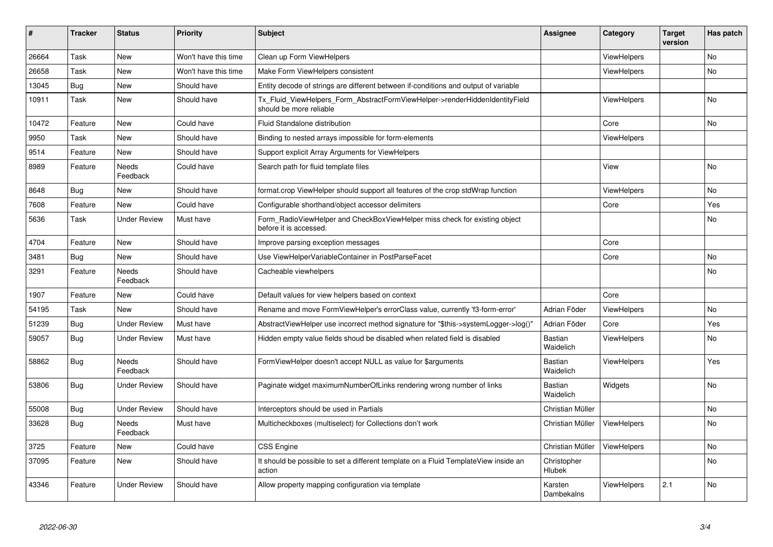| #     | <b>Tracker</b> | <b>Status</b>            | <b>Priority</b>      | <b>Subject</b>                                                                                         | <b>Assignee</b>             | Category           | Target<br>version | Has patch |
|-------|----------------|--------------------------|----------------------|--------------------------------------------------------------------------------------------------------|-----------------------------|--------------------|-------------------|-----------|
| 26664 | Task           | New                      | Won't have this time | Clean up Form ViewHelpers                                                                              |                             | ViewHelpers        |                   | <b>No</b> |
| 26658 | Task           | New                      | Won't have this time | Make Form ViewHelpers consistent                                                                       |                             | ViewHelpers        |                   | No        |
| 13045 | Bug            | New                      | Should have          | Entity decode of strings are different between if-conditions and output of variable                    |                             |                    |                   |           |
| 10911 | Task           | New                      | Should have          | Tx Fluid ViewHelpers Form AbstractFormViewHelper->renderHiddenIdentityField<br>should be more reliable |                             | ViewHelpers        |                   | No        |
| 10472 | Feature        | New                      | Could have           | Fluid Standalone distribution                                                                          |                             | Core               |                   | No        |
| 9950  | Task           | New                      | Should have          | Binding to nested arrays impossible for form-elements                                                  |                             | <b>ViewHelpers</b> |                   |           |
| 9514  | Feature        | New                      | Should have          | Support explicit Array Arguments for ViewHelpers                                                       |                             |                    |                   |           |
| 8989  | Feature        | Needs<br>Feedback        | Could have           | Search path for fluid template files                                                                   |                             | View               |                   | <b>No</b> |
| 8648  | Bug            | New                      | Should have          | format.crop ViewHelper should support all features of the crop stdWrap function                        |                             | <b>ViewHelpers</b> |                   | No        |
| 7608  | Feature        | New                      | Could have           | Configurable shorthand/object accessor delimiters                                                      |                             | Core               |                   | Yes       |
| 5636  | Task           | <b>Under Review</b>      | Must have            | Form RadioViewHelper and CheckBoxViewHelper miss check for existing object<br>before it is accessed.   |                             |                    |                   | No        |
| 4704  | Feature        | New                      | Should have          | Improve parsing exception messages                                                                     |                             | Core               |                   |           |
| 3481  | Bug            | New                      | Should have          | Use ViewHelperVariableContainer in PostParseFacet                                                      |                             | Core               |                   | No        |
| 3291  | Feature        | <b>Needs</b><br>Feedback | Should have          | Cacheable viewhelpers                                                                                  |                             |                    |                   | No        |
| 1907  | Feature        | New                      | Could have           | Default values for view helpers based on context                                                       |                             | Core               |                   |           |
| 54195 | Task           | New                      | Should have          | Rename and move FormViewHelper's errorClass value, currently 'f3-form-error'                           | Adrian Föder                | ViewHelpers        |                   | No        |
| 51239 | <b>Bug</b>     | <b>Under Review</b>      | Must have            | AbstractViewHelper use incorrect method signature for "\$this->systemLogger->log()"                    | Adrian Föder                | Core               |                   | Yes       |
| 59057 | <b>Bug</b>     | Under Review             | Must have            | Hidden empty value fields shoud be disabled when related field is disabled                             | <b>Bastian</b><br>Waidelich | <b>ViewHelpers</b> |                   | No        |
| 58862 | Bug            | Needs<br>Feedback        | Should have          | FormViewHelper doesn't accept NULL as value for \$arguments                                            | Bastian<br>Waidelich        | <b>ViewHelpers</b> |                   | Yes       |
| 53806 | <b>Bug</b>     | Under Review             | Should have          | Paginate widget maximumNumberOfLinks rendering wrong number of links                                   | Bastian<br>Waidelich        | Widgets            |                   | <b>No</b> |
| 55008 | <b>Bug</b>     | <b>Under Review</b>      | Should have          | Interceptors should be used in Partials                                                                | Christian Müller            |                    |                   | <b>No</b> |
| 33628 | Bug            | Needs<br>Feedback        | Must have            | Multicheckboxes (multiselect) for Collections don't work                                               | Christian Müller            | ViewHelpers        |                   | <b>No</b> |
| 3725  | Feature        | New                      | Could have           | <b>CSS Engine</b>                                                                                      | Christian Müller            | ViewHelpers        |                   | <b>No</b> |
| 37095 | Feature        | New                      | Should have          | It should be possible to set a different template on a Fluid TemplateView inside an<br>action          | Christopher<br>Hlubek       |                    |                   | <b>No</b> |
| 43346 | Feature        | <b>Under Review</b>      | Should have          | Allow property mapping configuration via template                                                      | Karsten<br>Dambekalns       | <b>ViewHelpers</b> | 2.1               | <b>No</b> |